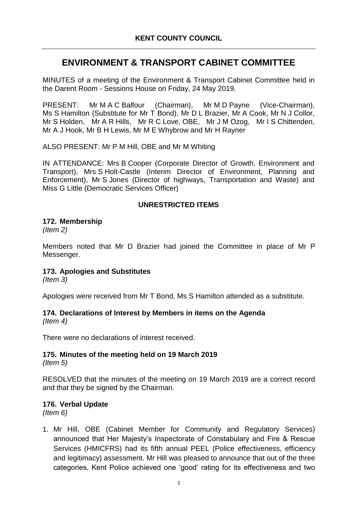# **ENVIRONMENT & TRANSPORT CABINET COMMITTEE**

MINUTES of a meeting of the Environment & Transport Cabinet Committee held in the Darent Room - Sessions House on Friday, 24 May 2019.

PRESENT: Mr M A C Balfour (Chairman), Mr M D Payne (Vice-Chairman), Ms S Hamilton (Substitute for Mr T Bond), Mr D L Brazier, Mr A Cook, Mr N J Collor, Mr S Holden, Mr A R Hills, Mr R C Love, OBE, Mr J M Ozog, Mr I S Chittenden, Mr A J Hook, Mr B H Lewis, Mr M E Whybrow and Mr H Rayner

ALSO PRESENT: Mr P M Hill, OBE and Mr M Whiting

IN ATTENDANCE: Mrs B Cooper (Corporate Director of Growth, Environment and Transport), Mrs S Holt-Castle (Interim Director of Environment, Planning and Enforcement), Mr S Jones (Director of highways, Transportation and Waste) and Miss G Little (Democratic Services Officer)

### **UNRESTRICTED ITEMS**

### **172. Membership**

*(Item 2)*

Members noted that Mr D Brazier had joined the Committee in place of Mr P Messenger.

### **173. Apologies and Substitutes**

*(Item 3)*

Apologies were received from Mr T Bond, Ms S Hamilton attended as a substitute.

### **174. Declarations of Interest by Members in items on the Agenda**

*(Item 4)*

There were no declarations of interest received.

# **175. Minutes of the meeting held on 19 March 2019**

*(Item 5)*

RESOLVED that the minutes of the meeting on 19 March 2019 are a correct record and that they be signed by the Chairman.

### **176. Verbal Update**

*(Item 6)*

1. Mr Hill, OBE (Cabinet Member for Community and Regulatory Services) announced that Her Majesty's Inspectorate of Constabulary and Fire & Rescue Services (HMICFRS) had its fifth annual PEEL (Police effectiveness, efficiency and legitimacy) assessment. Mr Hill was pleased to announce that out of the three categories, Kent Police achieved one 'good' rating for its effectiveness and two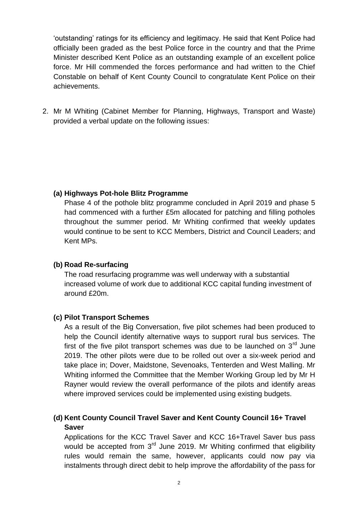'outstanding' ratings for its efficiency and legitimacy. He said that Kent Police had officially been graded as the best Police force in the country and that the Prime Minister described Kent Police as an outstanding example of an excellent police force. Mr Hill commended the forces performance and had written to the Chief Constable on behalf of Kent County Council to congratulate Kent Police on their achievements.

2. Mr M Whiting (Cabinet Member for Planning, Highways, Transport and Waste) provided a verbal update on the following issues:

### **(a) Highways Pot-hole Blitz Programme**

Phase 4 of the pothole blitz programme concluded in April 2019 and phase 5 had commenced with a further £5m allocated for patching and filling potholes throughout the summer period. Mr Whiting confirmed that weekly updates would continue to be sent to KCC Members, District and Council Leaders; and Kent MPs.

### **(b) Road Re-surfacing**

The road resurfacing programme was well underway with a substantial increased volume of work due to additional KCC capital funding investment of around £20m.

### **(c) Pilot Transport Schemes**

As a result of the Big Conversation, five pilot schemes had been produced to help the Council identify alternative ways to support rural bus services. The first of the five pilot transport schemes was due to be launched on  $3<sup>rd</sup>$  June 2019. The other pilots were due to be rolled out over a six-week period and take place in; Dover, Maidstone, Sevenoaks, Tenterden and West Malling. Mr Whiting informed the Committee that the Member Working Group led by Mr H Rayner would review the overall performance of the pilots and identify areas where improved services could be implemented using existing budgets.

### **(d) Kent County Council Travel Saver and Kent County Council 16+ Travel Saver**

Applications for the KCC Travel Saver and KCC 16+Travel Saver bus pass would be accepted from  $3<sup>rd</sup>$  June 2019. Mr Whiting confirmed that eligibility rules would remain the same, however, applicants could now pay via instalments through direct debit to help improve the affordability of the pass for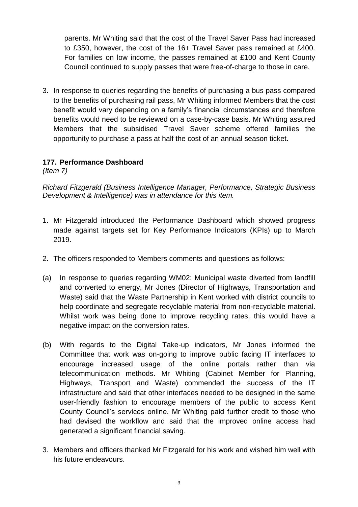parents. Mr Whiting said that the cost of the Travel Saver Pass had increased to £350, however, the cost of the 16+ Travel Saver pass remained at £400. For families on low income, the passes remained at £100 and Kent County Council continued to supply passes that were free-of-charge to those in care.

3. In response to queries regarding the benefits of purchasing a bus pass compared to the benefits of purchasing rail pass, Mr Whiting informed Members that the cost benefit would vary depending on a family's financial circumstances and therefore benefits would need to be reviewed on a case-by-case basis. Mr Whiting assured Members that the subsidised Travel Saver scheme offered families the opportunity to purchase a pass at half the cost of an annual season ticket.

# **177. Performance Dashboard**

*(Item 7)*

*Richard Fitzgerald (Business Intelligence Manager, Performance, Strategic Business Development & Intelligence) was in attendance for this item.* 

- 1. Mr Fitzgerald introduced the Performance Dashboard which showed progress made against targets set for Key Performance Indicators (KPIs) up to March 2019.
- 2. The officers responded to Members comments and questions as follows:
- (a) In response to queries regarding WM02: Municipal waste diverted from landfill and converted to energy, Mr Jones (Director of Highways, Transportation and Waste) said that the Waste Partnership in Kent worked with district councils to help coordinate and segregate recyclable material from non-recyclable material. Whilst work was being done to improve recycling rates, this would have a negative impact on the conversion rates.
- (b) With regards to the Digital Take-up indicators, Mr Jones informed the Committee that work was on-going to improve public facing IT interfaces to encourage increased usage of the online portals rather than via telecommunication methods. Mr Whiting (Cabinet Member for Planning, Highways, Transport and Waste) commended the success of the IT infrastructure and said that other interfaces needed to be designed in the same user-friendly fashion to encourage members of the public to access Kent County Council's services online. Mr Whiting paid further credit to those who had devised the workflow and said that the improved online access had generated a significant financial saving.
- 3. Members and officers thanked Mr Fitzgerald for his work and wished him well with his future endeavours.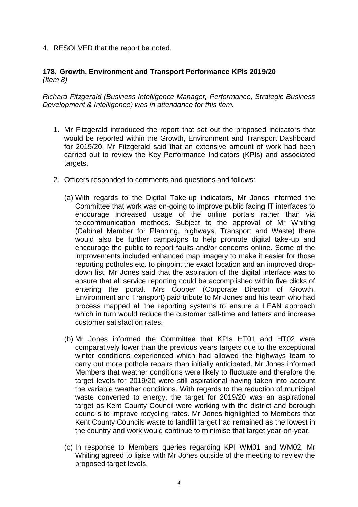4. RESOLVED that the report be noted.

### **178. Growth, Environment and Transport Performance KPIs 2019/20** *(Item 8)*

*Richard Fitzgerald (Business Intelligence Manager, Performance, Strategic Business Development & Intelligence) was in attendance for this item.* 

- 1. Mr Fitzgerald introduced the report that set out the proposed indicators that would be reported within the Growth, Environment and Transport Dashboard for 2019/20. Mr Fitzgerald said that an extensive amount of work had been carried out to review the Key Performance Indicators (KPIs) and associated targets.
- 2. Officers responded to comments and questions and follows:
	- (a) With regards to the Digital Take-up indicators, Mr Jones informed the Committee that work was on-going to improve public facing IT interfaces to encourage increased usage of the online portals rather than via telecommunication methods. Subject to the approval of Mr Whiting (Cabinet Member for Planning, highways, Transport and Waste) there would also be further campaigns to help promote digital take-up and encourage the public to report faults and/or concerns online. Some of the improvements included enhanced map imagery to make it easier for those reporting potholes etc. to pinpoint the exact location and an improved dropdown list. Mr Jones said that the aspiration of the digital interface was to ensure that all service reporting could be accomplished within five clicks of entering the portal. Mrs Cooper (Corporate Director of Growth, Environment and Transport) paid tribute to Mr Jones and his team who had process mapped all the reporting systems to ensure a LEAN approach which in turn would reduce the customer call-time and letters and increase customer satisfaction rates.
	- (b) Mr Jones informed the Committee that KPIs HT01 and HT02 were comparatively lower than the previous years targets due to the exceptional winter conditions experienced which had allowed the highways team to carry out more pothole repairs than initially anticipated. Mr Jones informed Members that weather conditions were likely to fluctuate and therefore the target levels for 2019/20 were still aspirational having taken into account the variable weather conditions. With regards to the reduction of municipal waste converted to energy, the target for 2019/20 was an aspirational target as Kent County Council were working with the district and borough councils to improve recycling rates. Mr Jones highlighted to Members that Kent County Councils waste to landfill target had remained as the lowest in the country and work would continue to minimise that target year-on-year.
	- (c) In response to Members queries regarding KPI WM01 and WM02, Mr Whiting agreed to liaise with Mr Jones outside of the meeting to review the proposed target levels.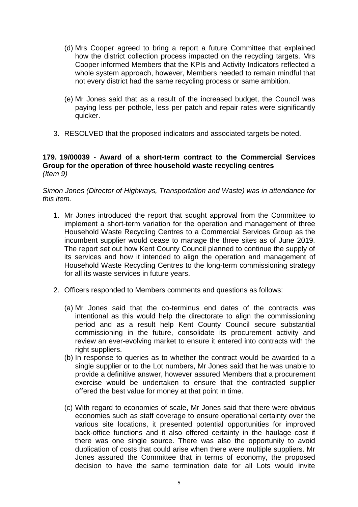- (d) Mrs Cooper agreed to bring a report a future Committee that explained how the district collection process impacted on the recycling targets. Mrs Cooper informed Members that the KPIs and Activity Indicators reflected a whole system approach, however, Members needed to remain mindful that not every district had the same recycling process or same ambition.
- (e) Mr Jones said that as a result of the increased budget, the Council was paying less per pothole, less per patch and repair rates were significantly quicker.
- 3. RESOLVED that the proposed indicators and associated targets be noted.

### **179. 19/00039 - Award of a short-term contract to the Commercial Services Group for the operation of three household waste recycling centres** *(Item 9)*

#### *Simon Jones (Director of Highways, Transportation and Waste) was in attendance for this item.*

- 1. Mr Jones introduced the report that sought approval from the Committee to implement a short-term variation for the operation and management of three Household Waste Recycling Centres to a Commercial Services Group as the incumbent supplier would cease to manage the three sites as of June 2019. The report set out how Kent County Council planned to continue the supply of its services and how it intended to align the operation and management of Household Waste Recycling Centres to the long-term commissioning strategy for all its waste services in future years.
- 2. Officers responded to Members comments and questions as follows:
	- (a) Mr Jones said that the co-terminus end dates of the contracts was intentional as this would help the directorate to align the commissioning period and as a result help Kent County Council secure substantial commissioning in the future, consolidate its procurement activity and review an ever-evolving market to ensure it entered into contracts with the right suppliers.
	- (b) In response to queries as to whether the contract would be awarded to a single supplier or to the Lot numbers, Mr Jones said that he was unable to provide a definitive answer, however assured Members that a procurement exercise would be undertaken to ensure that the contracted supplier offered the best value for money at that point in time.
	- (c) With regard to economies of scale, Mr Jones said that there were obvious economies such as staff coverage to ensure operational certainty over the various site locations, it presented potential opportunities for improved back-office functions and it also offered certainty in the haulage cost if there was one single source. There was also the opportunity to avoid duplication of costs that could arise when there were multiple suppliers. Mr Jones assured the Committee that in terms of economy, the proposed decision to have the same termination date for all Lots would invite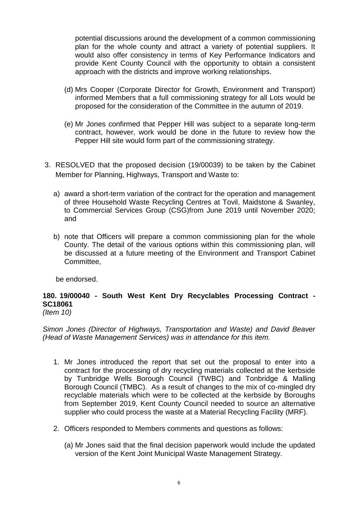potential discussions around the development of a common commissioning plan for the whole county and attract a variety of potential suppliers. It would also offer consistency in terms of Key Performance Indicators and provide Kent County Council with the opportunity to obtain a consistent approach with the districts and improve working relationships.

- (d) Mrs Cooper (Corporate Director for Growth, Environment and Transport) informed Members that a full commissioning strategy for all Lots would be proposed for the consideration of the Committee in the autumn of 2019.
- (e) Mr Jones confirmed that Pepper Hill was subject to a separate long-term contract, however, work would be done in the future to review how the Pepper Hill site would form part of the commissioning strategy.
- 3. RESOLVED that the proposed decision (19/00039) to be taken by the Cabinet Member for Planning, Highways, Transport and Waste to:
	- a) award a short-term variation of the contract for the operation and management of three Household Waste Recycling Centres at Tovil, Maidstone & Swanley, to Commercial Services Group (CSG)from June 2019 until November 2020; and
	- b) note that Officers will prepare a common commissioning plan for the whole County. The detail of the various options within this commissioning plan, will be discussed at a future meeting of the Environment and Transport Cabinet Committee,

be endorsed.

#### **180. 19/00040 - South West Kent Dry Recyclables Processing Contract - SC18061** *(Item 10)*

*Simon Jones (Director of Highways, Transportation and Waste) and David Beaver (Head of Waste Management Services) was in attendance for this item.* 

- 1. Mr Jones introduced the report that set out the proposal to enter into a contract for the processing of dry recycling materials collected at the kerbside by Tunbridge Wells Borough Council (TWBC) and Tonbridge & Malling Borough Council (TMBC). As a result of changes to the mix of co-mingled dry recyclable materials which were to be collected at the kerbside by Boroughs from September 2019, Kent County Council needed to source an alternative supplier who could process the waste at a Material Recycling Facility (MRF).
- 2. Officers responded to Members comments and questions as follows:
	- (a) Mr Jones said that the final decision paperwork would include the updated version of the Kent Joint Municipal Waste Management Strategy.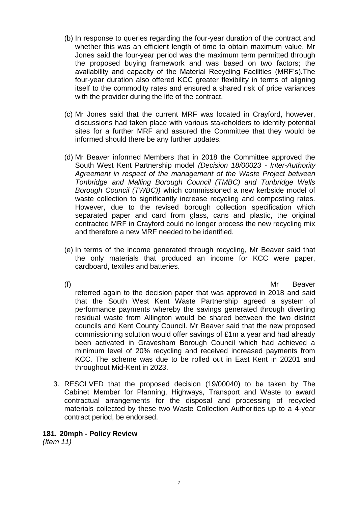- (b) In response to queries regarding the four-year duration of the contract and whether this was an efficient length of time to obtain maximum value, Mr Jones said the four-year period was the maximum term permitted through the proposed buying framework and was based on two factors; the availability and capacity of the Material Recycling Facilities (MRF's).The four-year duration also offered KCC greater flexibility in terms of aligning itself to the commodity rates and ensured a shared risk of price variances with the provider during the life of the contract.
- (c) Mr Jones said that the current MRF was located in Crayford, however, discussions had taken place with various stakeholders to identify potential sites for a further MRF and assured the Committee that they would be informed should there be any further updates.
- (d) Mr Beaver informed Members that in 2018 the Committee approved the South West Kent Partnership model *(Decision 18/00023 - Inter-Authority Agreement in respect of the management of the Waste Project between Tonbridge and Malling Borough Council (TMBC) and Tunbridge Wells Borough Council (TWBC))* which commissioned a new kerbside model of waste collection to significantly increase recycling and composting rates. However, due to the revised borough collection specification which separated paper and card from glass, cans and plastic, the original contracted MRF in Crayford could no longer process the new recycling mix and therefore a new MRF needed to be identified.
- (e) In terms of the income generated through recycling, Mr Beaver said that the only materials that produced an income for KCC were paper, cardboard, textiles and batteries.

(f) Mr Beaver referred again to the decision paper that was approved in 2018 and said that the South West Kent Waste Partnership agreed a system of performance payments whereby the savings generated through diverting residual waste from Allington would be shared between the two district councils and Kent County Council. Mr Beaver said that the new proposed commissioning solution would offer savings of £1m a year and had already been activated in Gravesham Borough Council which had achieved a minimum level of 20% recycling and received increased payments from KCC. The scheme was due to be rolled out in East Kent in 20201 and throughout Mid-Kent in 2023.

3. RESOLVED that the proposed decision (19/00040) to be taken by The Cabinet Member for Planning, Highways, Transport and Waste to award contractual arrangements for the disposal and processing of recycled materials collected by these two Waste Collection Authorities up to a 4-year contract period, be endorsed.

### **181. 20mph - Policy Review**

*(Item 11)*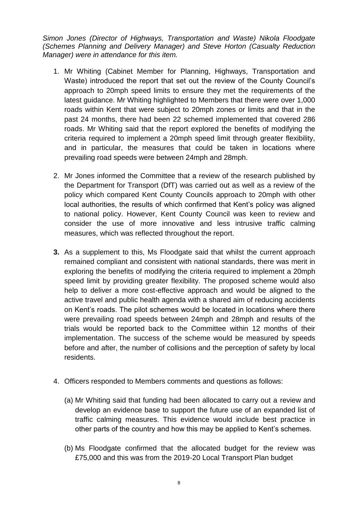*Simon Jones (Director of Highways, Transportation and Waste) Nikola Floodgate (Schemes Planning and Delivery Manager) and Steve Horton (Casualty Reduction Manager) were in attendance for this item.*

- 1. Mr Whiting (Cabinet Member for Planning, Highways, Transportation and Waste) introduced the report that set out the review of the County Council's approach to 20mph speed limits to ensure they met the requirements of the latest guidance. Mr Whiting highlighted to Members that there were over 1,000 roads within Kent that were subject to 20mph zones or limits and that in the past 24 months, there had been 22 schemed implemented that covered 286 roads. Mr Whiting said that the report explored the benefits of modifying the criteria required to implement a 20mph speed limit through greater flexibility, and in particular, the measures that could be taken in locations where prevailing road speeds were between 24mph and 28mph.
- 2. Mr Jones informed the Committee that a review of the research published by the Department for Transport (DfT) was carried out as well as a review of the policy which compared Kent County Councils approach to 20mph with other local authorities, the results of which confirmed that Kent's policy was aligned to national policy. However, Kent County Council was keen to review and consider the use of more innovative and less intrusive traffic calming measures, which was reflected throughout the report.
- **3.** As a supplement to this, Ms Floodgate said that whilst the current approach remained compliant and consistent with national standards, there was merit in exploring the benefits of modifying the criteria required to implement a 20mph speed limit by providing greater flexibility. The proposed scheme would also help to deliver a more cost-effective approach and would be aligned to the active travel and public health agenda with a shared aim of reducing accidents on Kent's roads. The pilot schemes would be located in locations where there were prevailing road speeds between 24mph and 28mph and results of the trials would be reported back to the Committee within 12 months of their implementation. The success of the scheme would be measured by speeds before and after, the number of collisions and the perception of safety by local residents.
- 4. Officers responded to Members comments and questions as follows:
	- (a) Mr Whiting said that funding had been allocated to carry out a review and develop an evidence base to support the future use of an expanded list of traffic calming measures. This evidence would include best practice in other parts of the country and how this may be applied to Kent's schemes.
	- (b) Ms Floodgate confirmed that the allocated budget for the review was £75,000 and this was from the 2019-20 Local Transport Plan budget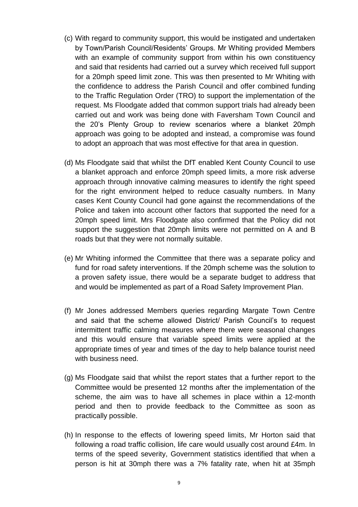- (c) With regard to community support, this would be instigated and undertaken by Town/Parish Council/Residents' Groups. Mr Whiting provided Members with an example of community support from within his own constituency and said that residents had carried out a survey which received full support for a 20mph speed limit zone. This was then presented to Mr Whiting with the confidence to address the Parish Council and offer combined funding to the Traffic Regulation Order (TRO) to support the implementation of the request. Ms Floodgate added that common support trials had already been carried out and work was being done with Faversham Town Council and the 20's Plenty Group to review scenarios where a blanket 20mph approach was going to be adopted and instead, a compromise was found to adopt an approach that was most effective for that area in question.
- (d) Ms Floodgate said that whilst the DfT enabled Kent County Council to use a blanket approach and enforce 20mph speed limits, a more risk adverse approach through innovative calming measures to identify the right speed for the right environment helped to reduce casualty numbers. In Many cases Kent County Council had gone against the recommendations of the Police and taken into account other factors that supported the need for a 20mph speed limit. Mrs Floodgate also confirmed that the Policy did not support the suggestion that 20mph limits were not permitted on A and B roads but that they were not normally suitable.
- (e) Mr Whiting informed the Committee that there was a separate policy and fund for road safety interventions. If the 20mph scheme was the solution to a proven safety issue, there would be a separate budget to address that and would be implemented as part of a Road Safety Improvement Plan.
- (f) Mr Jones addressed Members queries regarding Margate Town Centre and said that the scheme allowed District/ Parish Council's to request intermittent traffic calming measures where there were seasonal changes and this would ensure that variable speed limits were applied at the appropriate times of year and times of the day to help balance tourist need with business need.
- (g) Ms Floodgate said that whilst the report states that a further report to the Committee would be presented 12 months after the implementation of the scheme, the aim was to have all schemes in place within a 12-month period and then to provide feedback to the Committee as soon as practically possible.
- (h) In response to the effects of lowering speed limits, Mr Horton said that following a road traffic collision, life care would usually cost around £4m. In terms of the speed severity, Government statistics identified that when a person is hit at 30mph there was a 7% fatality rate, when hit at 35mph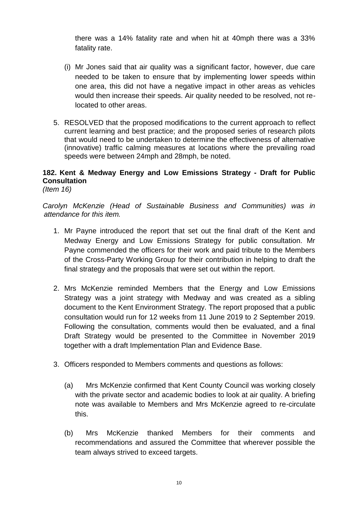there was a 14% fatality rate and when hit at 40mph there was a 33% fatality rate.

- (i) Mr Jones said that air quality was a significant factor, however, due care needed to be taken to ensure that by implementing lower speeds within one area, this did not have a negative impact in other areas as vehicles would then increase their speeds. Air quality needed to be resolved, not relocated to other areas.
- 5. RESOLVED that the proposed modifications to the current approach to reflect current learning and best practice; and the proposed series of research pilots that would need to be undertaken to determine the effectiveness of alternative (innovative) traffic calming measures at locations where the prevailing road speeds were between 24mph and 28mph, be noted.

# **182. Kent & Medway Energy and Low Emissions Strategy - Draft for Public Consultation**

*(Item 16)*

*Carolyn McKenzie (Head of Sustainable Business and Communities) was in attendance for this item.*

- 1. Mr Payne introduced the report that set out the final draft of the Kent and Medway Energy and Low Emissions Strategy for public consultation. Mr Payne commended the officers for their work and paid tribute to the Members of the Cross-Party Working Group for their contribution in helping to draft the final strategy and the proposals that were set out within the report.
- 2. Mrs McKenzie reminded Members that the Energy and Low Emissions Strategy was a joint strategy with Medway and was created as a sibling document to the Kent Environment Strategy. The report proposed that a public consultation would run for 12 weeks from 11 June 2019 to 2 September 2019. Following the consultation, comments would then be evaluated, and a final Draft Strategy would be presented to the Committee in November 2019 together with a draft Implementation Plan and Evidence Base.
- 3. Officers responded to Members comments and questions as follows:
	- (a) Mrs McKenzie confirmed that Kent County Council was working closely with the private sector and academic bodies to look at air quality. A briefing note was available to Members and Mrs McKenzie agreed to re-circulate this.
	- (b) Mrs McKenzie thanked Members for their comments and recommendations and assured the Committee that wherever possible the team always strived to exceed targets.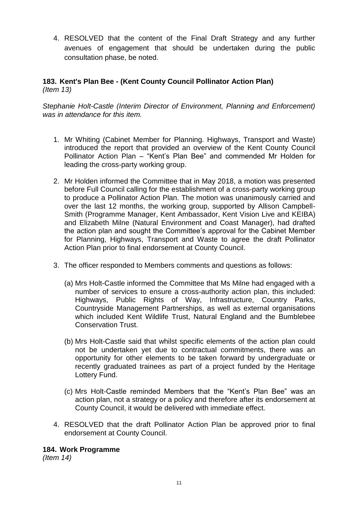4. RESOLVED that the content of the Final Draft Strategy and any further avenues of engagement that should be undertaken during the public consultation phase, be noted.

### **183. Kent's Plan Bee - (Kent County Council Pollinator Action Plan)** *(Item 13)*

*Stephanie Holt-Castle (Interim Director of Environment, Planning and Enforcement) was in attendance for this item.* 

- 1. Mr Whiting (Cabinet Member for Planning. Highways, Transport and Waste) introduced the report that provided an overview of the Kent County Council Pollinator Action Plan – "Kent's Plan Bee" and commended Mr Holden for leading the cross-party working group.
- 2. Mr Holden informed the Committee that in May 2018, a motion was presented before Full Council calling for the establishment of a cross-party working group to produce a Pollinator Action Plan. The motion was unanimously carried and over the last 12 months, the working group, supported by Allison Campbell-Smith (Programme Manager, Kent Ambassador, Kent Vision Live and KEIBA) and Elizabeth Milne (Natural Environment and Coast Manager), had drafted the action plan and sought the Committee's approval for the Cabinet Member for Planning, Highways, Transport and Waste to agree the draft Pollinator Action Plan prior to final endorsement at County Council.
- 3. The officer responded to Members comments and questions as follows:
	- (a) Mrs Holt-Castle informed the Committee that Ms Milne had engaged with a number of services to ensure a cross-authority action plan, this included: Highways, Public Rights of Way, Infrastructure, Country Parks, Countryside Management Partnerships, as well as external organisations which included Kent Wildlife Trust, Natural England and the Bumblebee Conservation Trust.
	- (b) Mrs Holt-Castle said that whilst specific elements of the action plan could not be undertaken yet due to contractual commitments, there was an opportunity for other elements to be taken forward by undergraduate or recently graduated trainees as part of a project funded by the Heritage Lottery Fund.
	- (c) Mrs Holt-Castle reminded Members that the "Kent's Plan Bee" was an action plan, not a strategy or a policy and therefore after its endorsement at County Council, it would be delivered with immediate effect.
- 4. RESOLVED that the draft Pollinator Action Plan be approved prior to final endorsement at County Council.

**184. Work Programme**

*(Item 14)*